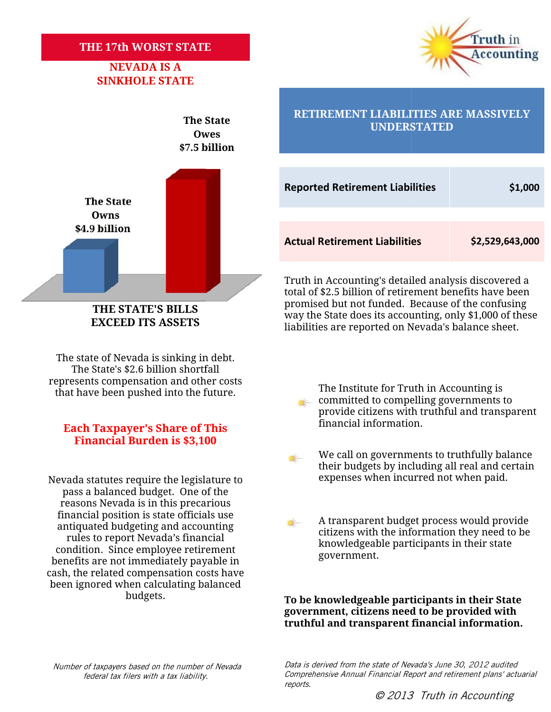#### **THE 17th WORST STATE**

### **NEVADA IS A SINKHOLE STATE**





The state of Nevada is sinking in debt. The State's \$2.6 billion shortfall represents compensation and other costs

## financial information. **Each Taxpayer's Share of This Financial Burden is \$3,100**

pass a balanced budget. One of the reasons Nevada is in this precarious financial position is state officials use antiquated budgeting and accounting rules to report Nevada's financial condition. Since employee retirement benefits are not immediately payable in cash, the related compensation costs have been ignored when calculating balanced budgets. The State's \$2.6 billion shortfall<br>
has that have been pushed into the future.<br> **Each Taxpayer's Share of This**<br> **Each Taxpayer's Share of This**<br> **Each Taxpayer's Share of This**<br> **Each Taxpayer's Share of This**<br> **Each Taxp** 

### **RETIREMENT LIABILITIES ARE MASSIVELY The State The State The State The State The State The State The State The State The State The State The State The State The State The State The State The State The State The State**

|                                                                                                                                                                                                                                                                                         | <b>Reported Retirement Liabilities</b>                                                                                                                         | \$1,000         |  |  |
|-----------------------------------------------------------------------------------------------------------------------------------------------------------------------------------------------------------------------------------------------------------------------------------------|----------------------------------------------------------------------------------------------------------------------------------------------------------------|-----------------|--|--|
|                                                                                                                                                                                                                                                                                         | <b>Actual Retirement Liabilities</b>                                                                                                                           | \$2,529,643,000 |  |  |
| Truth in Accounting's detailed analysis discovered a<br>total of \$2.5 billion of retirement benefits have been<br>promised but not funded. Because of the confusing<br>way the State does its accounting, only \$1,000 of these<br>liabilities are reported on Nevada's balance sheet. |                                                                                                                                                                |                 |  |  |
|                                                                                                                                                                                                                                                                                         | The Institute for Truth in Accounting is<br>committed to compelling governments to<br>provide citizens with truthful and transparent<br>financial information. |                 |  |  |
|                                                                                                                                                                                                                                                                                         | We call on governments to truthfully balance<br>their budgets by including all real and certain<br>expenses when incurred not when paid.                       |                 |  |  |
|                                                                                                                                                                                                                                                                                         | A transparent budget process would provide<br>citizens with the information they need to be<br>knowledgeable participants in their state<br>government.        |                 |  |  |
| To be knowledgeable participants in their State<br>government, citizens need to be provided with<br>truthful and transparent financial information.                                                                                                                                     |                                                                                                                                                                |                 |  |  |
| Data is derived from the state of Nevada's June 30, 2012 audited<br>Comprehensive Annual Financial Report and retirement plans' actuarial<br>reports.<br>© 2013 Truth in Accounting                                                                                                     |                                                                                                                                                                |                 |  |  |

Truth in Accounting's detailed analysis discovered a total of \$2.5 billion of retirement benefits have been promised but not funded. Because of the confusing way the State does its accounting, only \$1,000 of these liabilities are reported on Nevada's balance sheet. Truth in Accounting's detailed analysis discovered a<br>total of \$2.5 billion of retirement benefits have been<br>promised but not funded. Because of the confusing<br>way the State does its accounting, only \$1,000 of these<br>liabilit

that have been pushed into the future.<br>The Institute for Truth in Accounting is<br>committed to compelling governments committed to compelling governments to provide citizens with truthful and transparent

We call on governments to truthfully balance their budgets by including all real and certain Nevada statutes require the legislature to expenses when incurred not when paid.

> A transparent budget process would provide citizens with the information they need to be knowledgeable participants in their state government. in the information they need to be<br>int Nevada's financial beparticipants in their state<br>immediately payable in their state<br>compensation costs have

*Number of taxpayers based on the number of Nevada federal tax filers with a tax liability.*

*Data is derived from the state of Nevada's June 30, 2012 audited* s based on the number of Nevada *Lata Is derived from the state of Nevada's June 30, 2012 audited*<br>filers with a tax liability. Comprehensive Annual Financial Report and retirement plans *reports.*